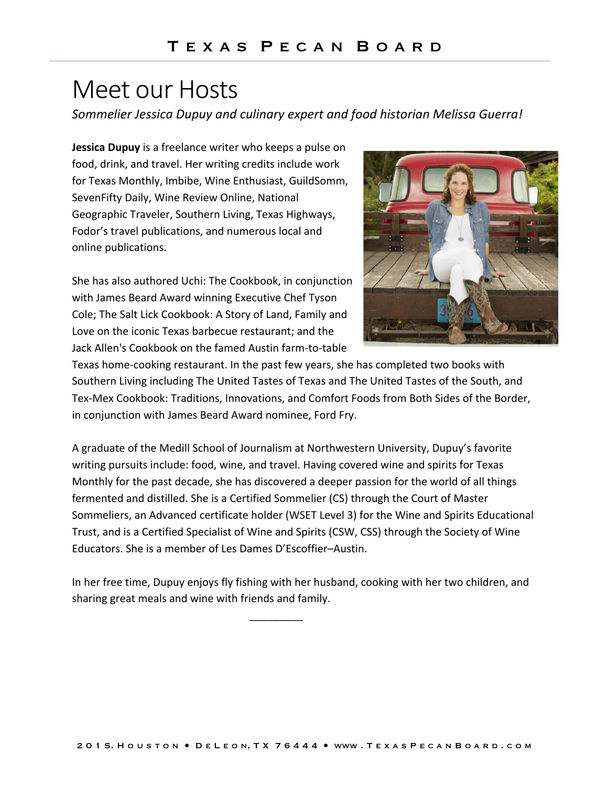## Meet our Hosts

*Sommelier Jessica Dupuy and culinary expert and food historian Melissa Guerra!*

**Jessica Dupuy** is a freelance writer who keeps a pulse on food, drink, and travel. Her writing credits include work for Texas Monthly, Imbibe, Wine Enthusiast, GuildSomm, SevenFifty Daily, Wine Review Online, National Geographic Traveler, Southern Living, Texas Highways, Fodor's travel publications, and numerous local and online publications.

She has also authored Uchi: The Cookbook, in conjunction with James Beard Award winning Executive Chef Tyson Cole; The Salt Lick Cookbook: A Story of Land, Family and Love on the iconic Texas barbecue restaurant; and the Jack Allen's Cookbook on the famed Austin farm-to-table



Texas home-cooking restaurant. In the past few years, she has completed two books with Southern Living including The United Tastes of Texas and The United Tastes of the South, and Tex-Mex Cookbook: Traditions, Innovations, and Comfort Foods from Both Sides of the Border, in conjunction with James Beard Award nominee, Ford Fry.

A graduate of the Medill School of Journalism at Northwestern University, Dupuy's favorite writing pursuits include: food, wine, and travel. Having covered wine and spirits for Texas Monthly for the past decade, she has discovered a deeper passion for the world of all things fermented and distilled. She is a Certified Sommelier (CS) through the Court of Master Sommeliers, an Advanced certificate holder (WSET Level 3) for the Wine and Spirits Educational Trust, and is a Certified Specialist of Wine and Spirits (CSW, CSS) through the Society of Wine Educators. She is a member of Les Dames D'Escoffier–Austin.

In her free time, Dupuy enjoys fly fishing with her husband, cooking with her two children, and sharing great meals and wine with friends and family.

*\_\_\_\_\_\_\_\_\_*